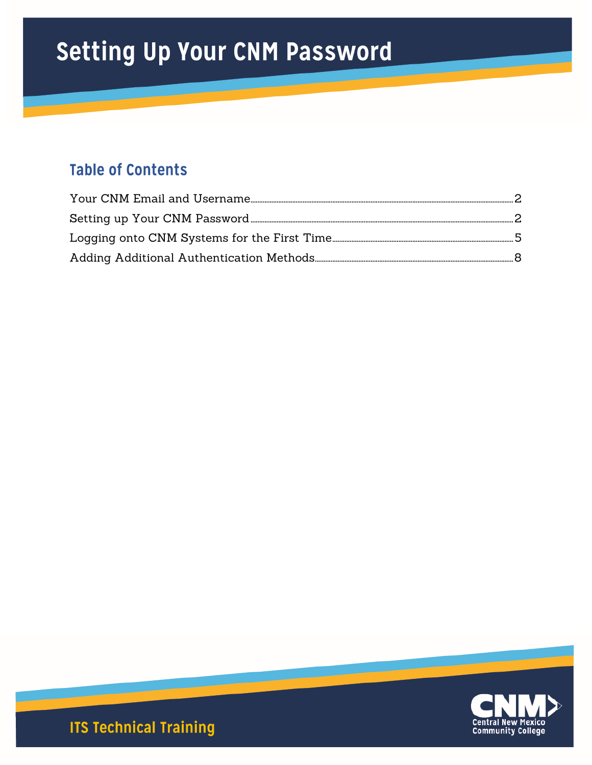# Setting Up Your CNM Password

## **Table of Contents**



**ITS Technical Training**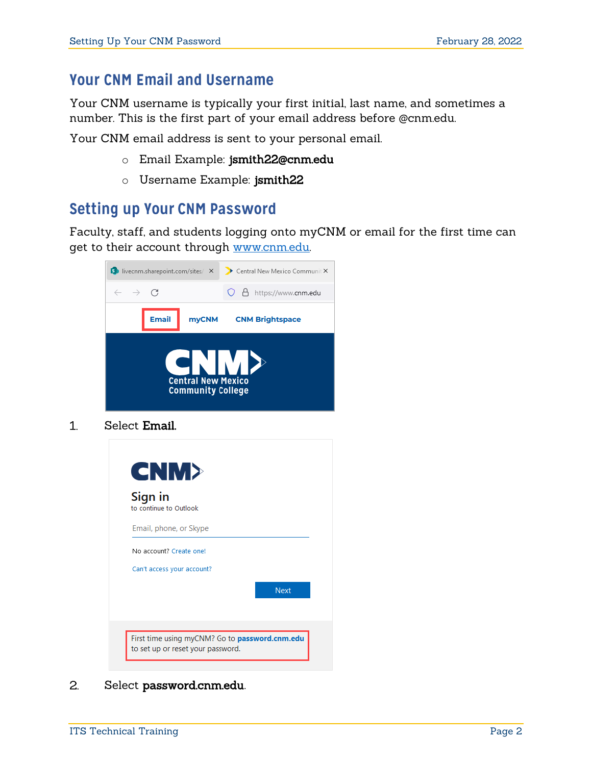### <span id="page-1-0"></span>**Your CNM Email and Username**

Your CNM username is typically your first initial, last name, and sometimes a number. This is the first part of your email address before @cnm.edu.

Your CNM email address is sent to your personal email.

- o Email Example: jsmith22@cnm.edu
- o Username Example: jsmith22

### <span id="page-1-1"></span>**Setting up Your CNM Password**

Faculty, staff, and students logging onto myCNM or email for the first time can get to their account through [www.cnm.edu.](https://cnm.edu/)



 $1<sub>1</sub>$ Select Email.



#### $2.$ Select password.cnm.edu.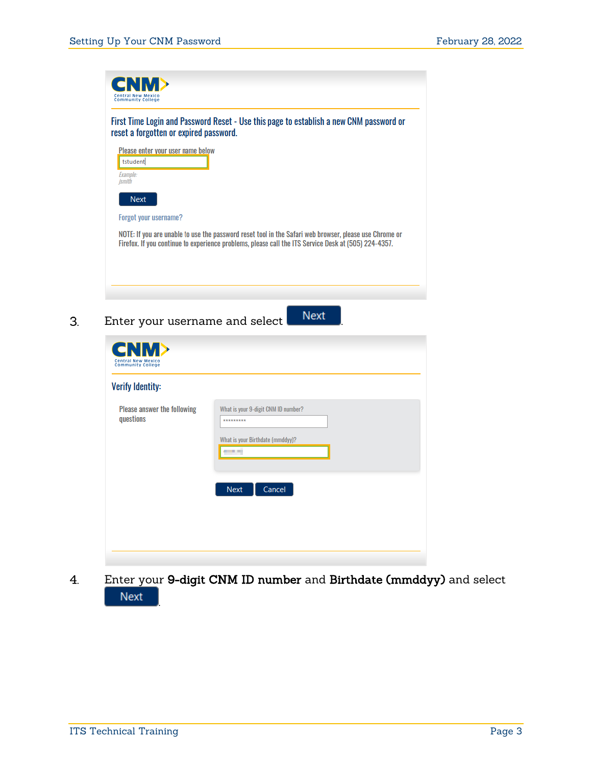

Enter your username and select **Next**  $3.$ 

| <b>Verify Identity:</b>                  |                                                                                                      |
|------------------------------------------|------------------------------------------------------------------------------------------------------|
| Please answer the following<br>questions | What is your 9-digit CNM ID number?<br>*********<br>What is your Birthdate (mmddyy)?<br><b>START</b> |
|                                          | Cancel<br><b>Next</b>                                                                                |

Enter your 9-digit CNM ID number and Birthdate (mmddyy) and select  $4.$ **Next** .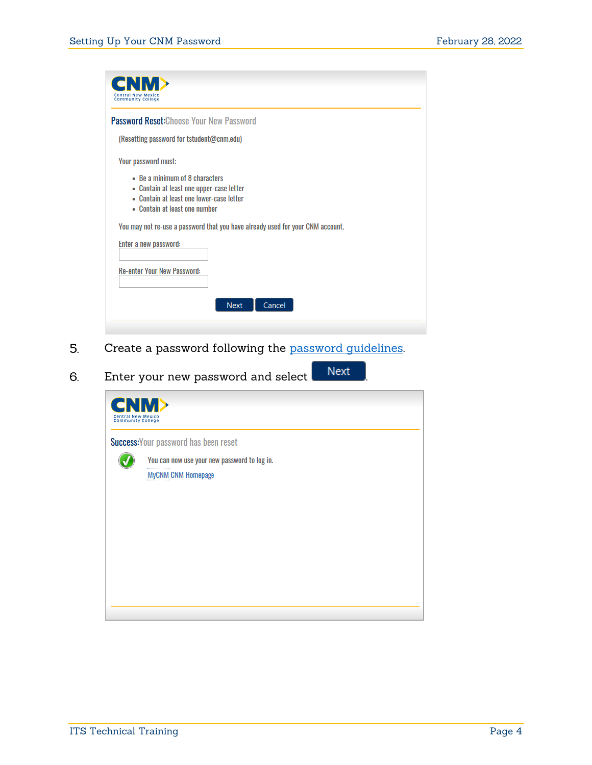| <b>Password Reset: Choose Your New Password</b>                                                                                                         |                                                                                |
|---------------------------------------------------------------------------------------------------------------------------------------------------------|--------------------------------------------------------------------------------|
| (Resetting password for tstudent@cnm.edu)                                                                                                               |                                                                                |
| Your password must:                                                                                                                                     |                                                                                |
| • Be a minimum of 8 characters<br>• Contain at least one upper-case letter<br>• Contain at least one lower-case letter<br>• Contain at least one number |                                                                                |
|                                                                                                                                                         | You may not re-use a password that you have already used for your CNM account. |
| Enter a new password:                                                                                                                                   |                                                                                |
| <b>Re-enter Your New Password:</b>                                                                                                                      |                                                                                |

- 5. Create a password following the [password guidelines.](https://www.cnm.edu/depts/information-technology-services/its-services-catalog/cnm-login-information/creating-a-strong-password)
- Enter your new password and select **Next** 6.

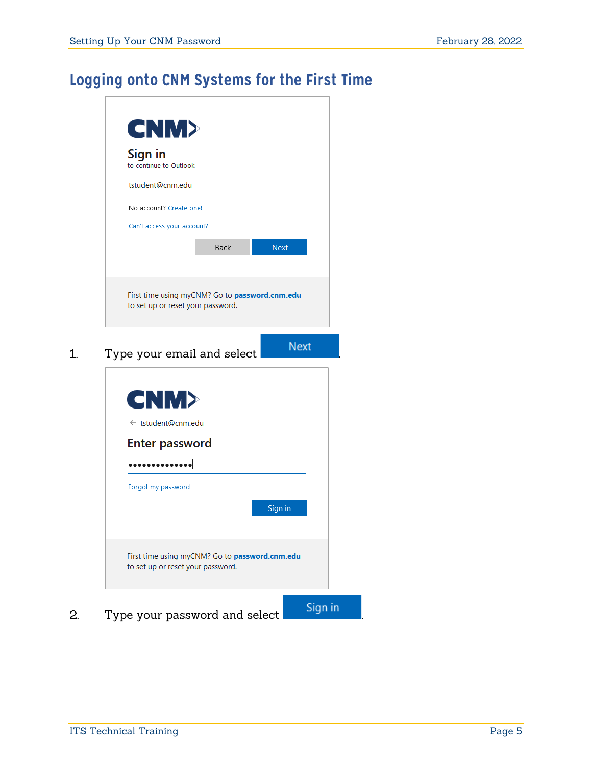### <span id="page-4-0"></span>Logging onto CNM Systems for the First Time



Type your password and select **Signin** 2.

 $1.$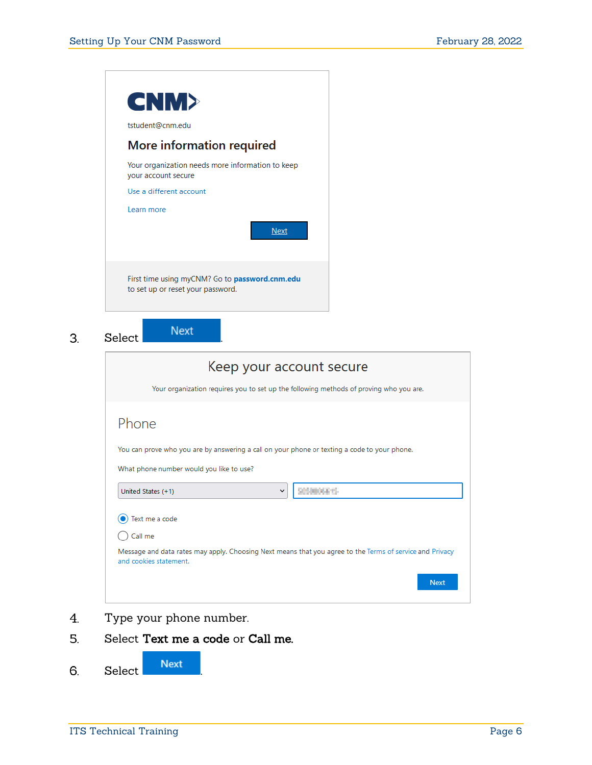

 $3.$ 

| Keep your account secure<br>Your organization requires you to set up the following methods of proving who you are.                                              |  |
|-----------------------------------------------------------------------------------------------------------------------------------------------------------------|--|
| Phone<br>You can prove who you are by answering a call on your phone or texting a code to your phone.<br>What phone number would you like to use?               |  |
| 2050006675<br>United States (+1)<br>$\check{ }$                                                                                                                 |  |
| Text me a code<br>Call me<br>Message and data rates may apply. Choosing Next means that you agree to the Terms of service and Privacy<br>and cookies statement. |  |
| <b>Next</b>                                                                                                                                                     |  |

- Type your phone number.  $4.$
- 5. Select Text me a code or Call me.

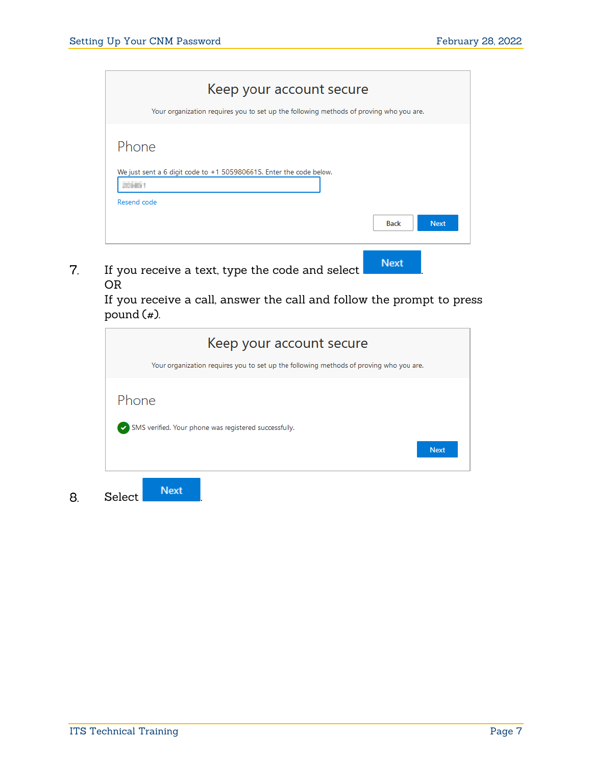| Keep your account secure<br>Your organization requires you to set up the following methods of proving who you are. |
|--------------------------------------------------------------------------------------------------------------------|
| Phone                                                                                                              |
| We just sent a 6 digit code to +1 5059806615. Enter the code below.<br>2010/1<br>Resend code                       |
| <b>Back</b><br><b>Next</b>                                                                                         |

If you receive a text, type the code and select **Next**  $\overline{7}$ . OR

> If you receive a call, answer the call and follow the prompt to press pound  $(*)$ .

|        | Keep your account secure                                                               |
|--------|----------------------------------------------------------------------------------------|
|        | Your organization requires you to set up the following methods of proving who you are. |
| Phone  |                                                                                        |
|        | SMS verified. Your phone was registered successfully.                                  |
|        | <b>Next</b>                                                                            |
| Select | <b>Next</b>                                                                            |

8.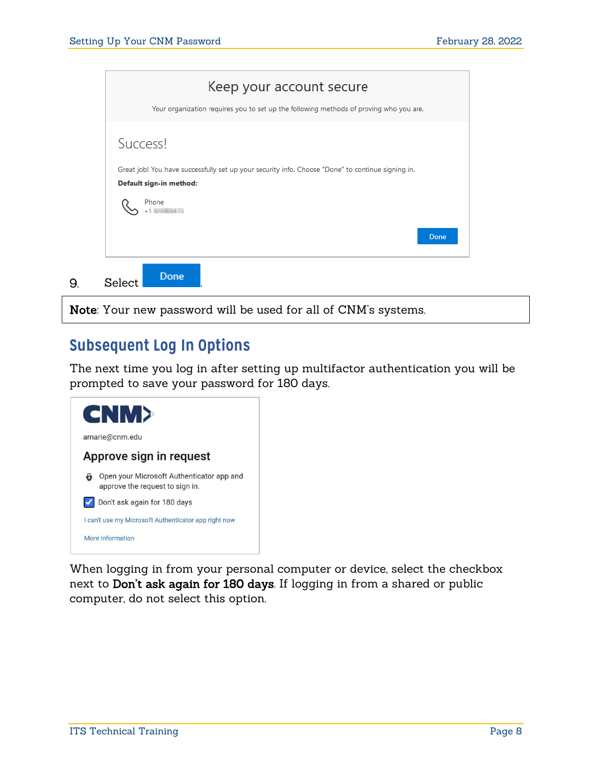

Note: Your new password will be used for all of CNM's systems.

### <span id="page-7-0"></span>**Subsequent Log In Options**

The next time you log in after setting up multifactor authentication you will be prompted to save your password for 180 days.



When logging in from your personal computer or device, select the checkbox next to Don't ask again for 180 days. If logging in from a shared or public computer, do not select this option.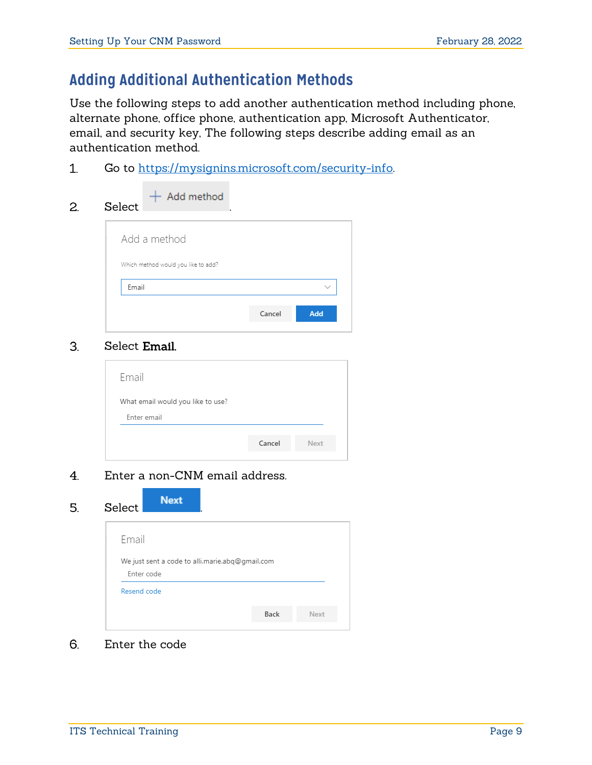### **Adding Additional Authentication Methods**

Use the following steps to add another authentication method including phone, alternate phone, office phone, authentication app, Microsoft Authenticator, email, and security key, The following steps describe adding email as an authentication method.

 $1<sub>1</sub>$ Go to [https://mysignins.microsoft.com/security-info.](https://mysignins.microsoft.com/security-info) 

| 2. | $+$ Add method<br>Select            |
|----|-------------------------------------|
|    | Add a method                        |
|    | Which method would you like to add? |
|    | Email<br>$\checkmark$               |
|    | Add<br>Cancel                       |
|    |                                     |

#### $3<sub>l</sub>$ Select Email.

| What email would you like to use?<br>Enter email |        |      |
|--------------------------------------------------|--------|------|
|                                                  | Cancel | Next |

#### Enter a non-CNM email address.  $4.$

#### Select Next 5.

| wuuu                                                          |      |      |
|---------------------------------------------------------------|------|------|
| Email                                                         |      |      |
| We just sent a code to alli.marie.abq@gmail.com<br>Enter code |      |      |
| Resend code                                                   |      |      |
|                                                               | Back | Next |

6. Enter the code